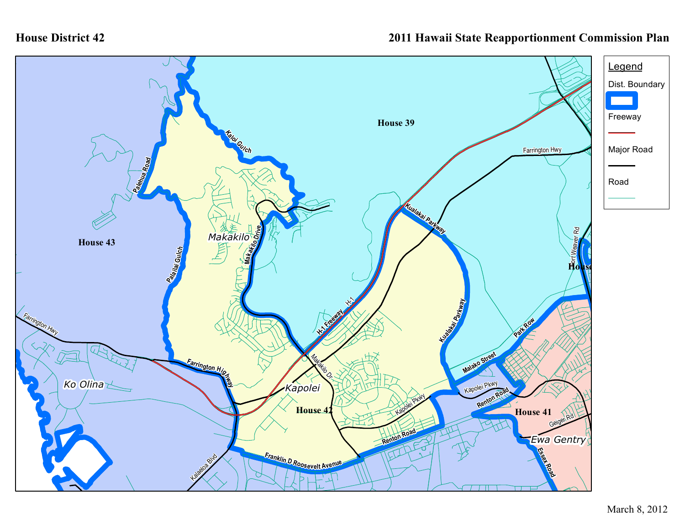## **House District 42**